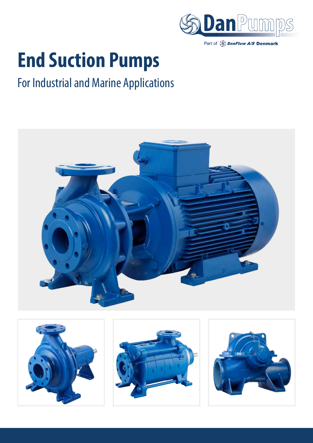

Part of SonFlow A/S Denmark

# **End Suction Pumps**

# For Industrial and Marine Applications



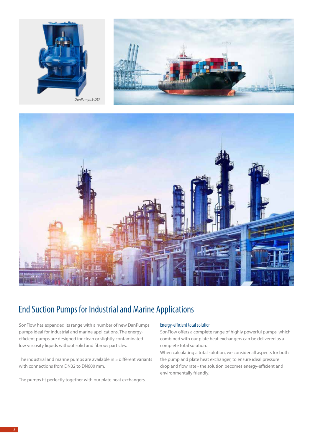





# End Suction Pumps for Industrial and Marine Applications

SonFlow has expanded its range with a number of new DanPumps pumps ideal for industrial and marine applications. The energyefficient pumps are designed for clean or slightly contaminated low viscosity liquids without solid and fibrous particles.

The industrial and marine pumps are available in 5 different variants with connections from DN32 to DN600 mm.

The pumps fit perfectly together with our plate heat exchangers.

#### Energy-efficient total solution

SonFlow offers a complete range of highly powerful pumps, which combined with our plate heat exchangers can be delivered as a complete total solution.

When calculating a total solution, we consider all aspects for both the pump and plate heat exchanger, to ensure ideal pressure drop and flow rate - the solution becomes energy-efficient and environmentally friendly.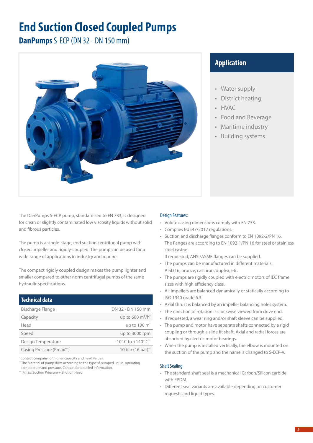# **End Suction Closed Coupled Pumps**

**DanPumps** S-ECP (DN 32 - DN 150 mm)



# **Application**

- Water supply
- District heating
- HVAC
- Food and Beverage
- Maritime industry
- Building systems

The DanPumps S-ECP pump, standardised to EN 733, is designed for clean or slightly contaminated low viscosity liquids without solid and fibrous particles.

The pump is a single-stage, end suction centrifugal pump with closed impeller and rigidly-coupled. The pump can be used for a wide range of applications in industry and marine.

The compact rigidly coupled design makes the pump lighter and smaller compared to other norm centrifugal pumps of the same hydraulic specifications.

| <b>Technical data</b>     |                                                   |
|---------------------------|---------------------------------------------------|
| Discharge Flange          | DN 32 - DN 150 mm                                 |
| Capacity                  | up to 600 $m^3/h^*$                               |
| Head                      | up to 100 m <sup>*</sup>                          |
| Speed                     | up to 3000 rpm                                    |
| Design Temperature        | $-10^{\circ}$ C to $+140^{\circ}$ C <sup>**</sup> |
| Casing Pressure (Pmax***) | 10 bar (16 bar)**                                 |

\* Contact company for higher capacity and head values.

\*\* The Material of pump diers according to the type of pumped liquid, operating temperature and pressure. Contact for detailed information.

\*\*\* Pmax: Suction Pressure + Shut off Head

### Design Features:

- Volute casing dimensions comply with EN 733.
- Complies EU547/2012 regulations.
- Suction and discharge flanges conform to EN 1092-2/PN 16. The flanges are according to EN 1092-1/PN 16 for steel or stainless steel casing.

If requested, ANSI/ASME flanges can be supplied.

- The pumps can be manufactured in different materials: AISI316, bronze, cast iron, duplex, etc.
- The pumps are rigidly coupled with electric motors of IEC frame sizes with high efficiency class.
- All impellers are balanced dynamically or statically according to ISO 1940 grade 6.3.
- Axial thrust is balanced by an impeller balancing holes system.
- The direction of rotation is clockwise viewed from drive end.
- If requested, a wear ring and/or shaft sleeve can be supplied.
- The pump and motor have separate shafts connected by a rigid coupling or through a slide fit shaft. Axial and radial forces are absorbed by electric motor bearings.
- When the pump is installed vertically, the elbow is mounted on the suction of the pump and the name is changed to S-ECP-V.

- The standard shaft seal is a mechanical Carbon/Silicon carbide with EPDM.
- Different seal variants are available depending on customer requests and liquid types.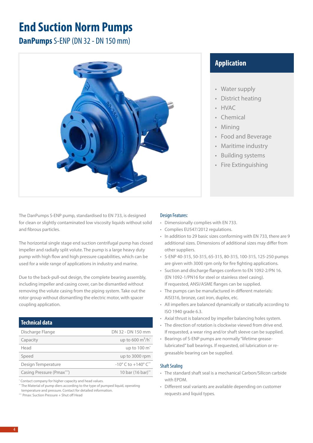# **End Suction Norm Pumps**

**DanPumps** S-ENP (DN 32 - DN 150 mm)



The DanPumps S-ENP pump, standardised to EN 733, is designed for clean or slightly contaminated low viscosity liquids without solid and fibrous particles.

The horizontal single stage end suction centrifugal pump has closed impeller and radially split volute. The pump is a large heavy duty pump with high flow and high pressure capabilities, which can be used for a wide range of applications in industry and marine.

Due to the back-pull-out design, the complete bearing assembly, including impeller and casing cover, can be dismantled without removing the volute casing from the piping system. Take out the rotor group without dismantling the electric motor, with spacer coupling application.

# **Technical data**

| Discharge Flange          | DN 32 - DN 150 mm                                 |
|---------------------------|---------------------------------------------------|
| Capacity                  | up to 600 $m^3/h^*$                               |
| Head                      | up to 100 m <sup>*</sup>                          |
| Speed                     | up to 3000 rpm                                    |
| Design Temperature        | $-10^{\circ}$ C to $+140^{\circ}$ C <sup>**</sup> |
| Casing Pressure (Pmax***) | 10 bar (16 bar)**                                 |

\* Contact company for higher capacity and head values.

\*\* The Material of pump diers according to the type of pumped liquid, operating

temperature and pressure. Contact for detailed information. \*\*\* Pmax: Suction Pressure + Shut off Head

# Design Features:

- Dimensionally complies with EN 733.
- Complies EU547/2012 regulations.
- In addition to 29 basic sizes conforming with EN 733, there are 9 additional sizes. Dimensions of additional sizes may differ from other suppliers.
- S-ENP 40-315, 50-315, 65-315, 80-315, 100-315, 125-250 pumps are given with 3000 rpm only for fire fighting applications.
- Suction and discharge flanges conform to EN 1092-2/PN 16. (EN 1092-1/PN16 for steel or stainless steel casing). If requested, ANSI/ASME flanges can be supplied.
- The pumps can be manufactured in different materials: AISI316, bronze, cast iron, duplex, etc.
- All impellers are balanced dynamically or statically according to ISO 1940 grade 6.3.
- Axial thrust is balanced by impeller balancing holes system.
- The direction of rotation is clockwise viewed from drive end. If requested, a wear ring and/or shaft sleeve can be supplied.
- Bearings of S-ENP pumps are normally "lifetime greaselubricated" ball bearings. If requested, oil lubrication or regreasable bearing can be supplied.

#### Shaft Sealing

- The standard shaft seal is a mechanical Carbon/Silicon carbide with EPDM.
- Different seal variants are available depending on customer requests and liquid types.

# **Application**

- Water supply
- District heating
- HVAC
- **Chemical**
- Mining
- Food and Beverage
- Maritime industry
- Building systems
- Fire Extinguishing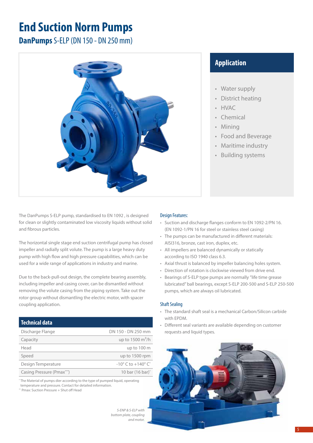# **End Suction Norm Pumps**

**DanPumps** S-ELP (DN 150 - DN 250 mm)



The DanPumps S-ELP pump, standardised to EN 1092 , is designed for clean or slightly contaminated low viscosity liquids without solid and fibrous particles.

The horizontal single stage end suction centrifugal pump has closed impeller and radially split volute. The pump is a large heavy duty pump with high flow and high pressure capabilities, which can be used for a wide range of applications in industry and marine.

Due to the back-pull-out design, the complete bearing assembly, including impeller and casing cover, can be dismantled without removing the volute casing from the piping system. Take out the rotor group without dismantling the electric motor, with spacer coupling application.

# **Technical data**

| Discharge Flange                       | DN 150 - DN 250 mm                               |
|----------------------------------------|--------------------------------------------------|
| Capacity                               | up to $1500 \text{ m}^3/\text{h}$                |
| Head                                   | up to 100 m                                      |
| Speed                                  | up to 1500 rpm                                   |
| Design Temperature                     | $-10^{\circ}$ C to $+140^{\circ}$ C <sup>*</sup> |
| Casing Pressure (Pmax <sup>***</sup> ) | 10 bar (16 bar) <sup>*</sup>                     |

\* The Material of pumps dier according to the type of pumped liquid, operating temperature and pressure. Contact for detailed information.

\*\* Pmax: Suction Pressure + Shut off Head

*S-ENP & S-ELP with bottom plate, coupling and motor.*

# **Application**

- Water supply
- District heating
- HVAC
- **Chemical**
- Mining
- Food and Beverage
- Maritime industry
- Building systems

### Design Features:

- Suction and discharge flanges conform to EN 1092-2/PN 16. (EN 1092-1/PN 16 for steel or stainless steel casing)
- The pumps can be manufactured in different materials: AISI316, bronze, cast iron, duplex, etc.
- All impellers are balanced dynamically or statically according to ISO 1940 class 6.3.
- Axial thrust is balanced by impeller balancing holes system.
- Direction of rotation is clockwise viewed from drive end.
- Bearings of S-ELP type pumps are normally "life time grease lubricated" ball bearings, except S-ELP 200-500 and S-ELP 250-500 pumps, which are always oil lubricated.

- The standard shaft seal is a mechanical Carbon/Silicon carbide with EPDM.
- Different seal variants are available depending on customer requests and liquid types.

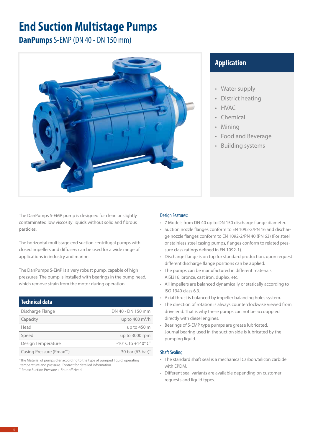# **End Suction Multistage Pumps**

**DanPumps** S-EMP (DN 40 - DN 150 mm)



The DanPumps S-EMP pump is designed for clean or slightly contaminated low viscosity liquids without solid and fibrous particles.

The horizontal multistage end suction centrifugal pumps with closed impellers and diffusers can be used for a wide range of applications in industry and marine.

The DanPumps S-EMP is a very robust pump, capable of high pressures. The pump is installed with bearings in the pump head, which remove strain from the motor during operation.

| <b>Technical data</b>     |                                                  |
|---------------------------|--------------------------------------------------|
| Discharge Flange          | DN 40 - DN 150 mm                                |
| Capacity                  | up to 400 $m^3/h$                                |
| Head                      | up to $450 \text{ m}$                            |
| Speed                     | up to 3000 rpm                                   |
| Design Temperature        | $-10^{\circ}$ C to $+140^{\circ}$ C <sup>*</sup> |
| Casing Pressure (Pmax***) | 30 bar (63 bar)*                                 |

\* The Material of pumps dier according to the type of pumped liquid, operating temperature and pressure. Contact for detailed information. \*\* Pmax: Suction Pressure + Shut off Head

# **Application**

- Water supply
- District heating
- HVAC
- **Chemical**
- Mining
- Food and Beverage
- Building systems

### Design Features:

- 7 Models from DN 40 up to DN 150 discharge flange diameter.
- Suction nozzle flanges conform to EN 1092-2/PN 16 and discharge nozzle flanges conform to EN 1092-2/PN 40 (PN 63) (For steel or stainless steel casing pumps, flanges conform to related pressure class ratings defined in EN 1092-1).
- Discharge flange is on top for standard production, upon request different discharge flange positions can be applied.
- The pumps can be manufactured in different materials: AISI316, bronze, cast iron, duplex, etc.
- All impellers are balanced dynamically or statically according to ISO 1940 class 6.3.
- Axial thrust is balanced by impeller balancing holes system.
- The direction of rotation is always counterclockwise viewed from drive end. That is why these pumps can not be accouppled directly with diesel engines.
- Bearings of S-EMP type pumps are grease lubricated. Journal bearing used in the suction side is lubricated by the pumping liquid.

- The standard shaft seal is a mechanical Carbon/Silicon carbide with EPDM.
- Different seal variants are available depending on customer requests and liquid types.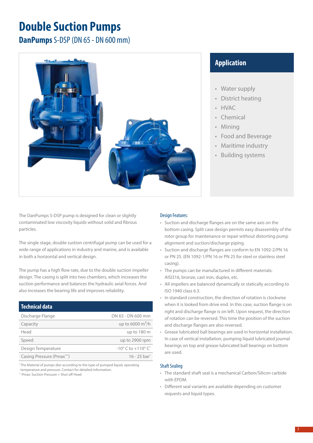# **Double Suction Pumps**

**DanPumps** S-DSP (DN 65 - DN 600 mm)



# **Application**

- Water supply
- District heating
- HVAC
- **Chemical**
- Mining
- Food and Beverage
- Maritime industry
- Building systems

The DanPumps S-DSP pump is designed for clean or slightly contaminated low viscosity liquids without solid and fibrous particles.

The single stage, double sustion centrifugal pump can be used for a wide range of applications in industry and marine, and is available in both a horizontal and vertical design.

The pump has a high flow rate, due to the double suction impeller design. The casing is split into two chambers, which increases the suction performance and balances the hydraulic axial forces. And also increases the bearing life and improves reliability.

| <b>Technical data</b>                  |                                                  |
|----------------------------------------|--------------------------------------------------|
| Discharge Flange                       | DN 65 - DN 600 mm                                |
| Capacity                               | up to 6000 $m^3/h$                               |
| Head                                   | up to 180 m                                      |
| Speed                                  | up to 2900 rpm                                   |
| Design Temperature                     | $-10^{\circ}$ C to $+110^{\circ}$ C <sup>*</sup> |
| Casing Pressure (Pmax <sup>***</sup> ) | $16 - 25$ bar <sup>*</sup>                       |

\* The Material of pumps dier according to the type of pumped liquid, operating temperature and pressure. Contact for detailed information.

\*\* Pmax: Suction Pressure + Shut off Head

### Design Features:

- Suction and discharge flanges are on the same axis on the bottom casing. Split case design permits easy disassembly of the rotor group for maintenance or repair without distorting pump alignment and suction/discharge piping.
- Suction and discharge flanges are conform to EN 1092-2/PN 16 or PN 25. (EN 1092-1/PN 16 or PN 25 for steel or stainless steel casing).
- The pumps can be manufactured in different materials: AISI316, bronze, cast iron, duplex, etc.
- All impellers are balanced dynamically or statically according to ISO 1940 class 6.3.
- In standard construction, the direction of rotation is clockwise when it is looked from drive end. In this case, suction flange is on right and discharge flange is on left. Upon request, the direction of rotation can be reversed. This time the position of the suction and discharge flanges are also reversed.
- Grease lubricated ball bearings are used in horizontal installation. In case of vertical installation, pumping liquid lubricated journal bearings on top and grease lubricated ball bearings on bottom are used.

- The standard shaft seal is a mechanical Carbon/Silicon carbide with EPDM.
- Different seal variants are available depending on customer requests and liquid types.